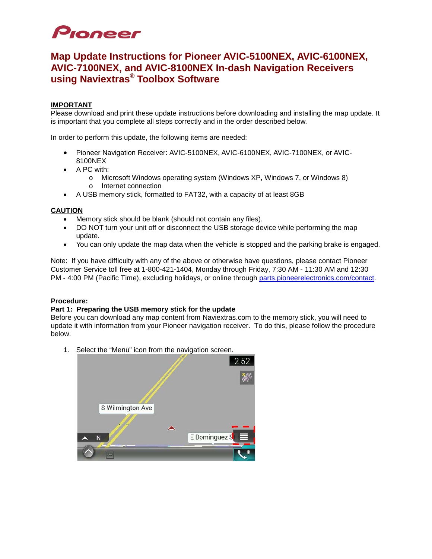# Pioneer

## **Map Update Instructions for Pioneer AVIC-5100NEX, AVIC-6100NEX, AVIC-7100NEX, and AVIC-8100NEX In-dash Navigation Receivers using Naviextras® Toolbox Software**

### **IMPORTANT**

Please download and print these update instructions before downloading and installing the map update. It is important that you complete all steps correctly and in the order described below.

In order to perform this update, the following items are needed:

- Pioneer Navigation Receiver: AVIC-5100NEX, AVIC-6100NEX, AVIC-7100NEX, or AVIC-8100NEX
- A PC with:
	- o Microsoft Windows operating system (Windows XP, Windows 7, or Windows 8) o Internet connection
- A USB memory stick, formatted to FAT32, with a capacity of at least 8GB

#### **CAUTION**

- Memory stick should be blank (should not contain any files).
- DO NOT turn your unit off or disconnect the USB storage device while performing the map update.
- You can only update the map data when the vehicle is stopped and the parking brake is engaged.

Note: If you have difficulty with any of the above or otherwise have questions, please contact Pioneer Customer Service toll free at 1-800-421-1404, Monday through Friday, 7:30 AM - 11:30 AM and 12:30 PM - 4:00 PM (Pacific Time), excluding holidays, or online through [parts.pioneerelectronics.com/contact.](http://parts.pioneerelectronics.com/contact/)

#### **Procedure:**

#### **Part 1: Preparing the USB memory stick for the update**

Before you can download any map content from Naviextras.com to the memory stick, you will need to update it with information from your Pioneer navigation receiver. To do this, please follow the procedure below.

1. Select the "Menu" icon from the navigation screen.

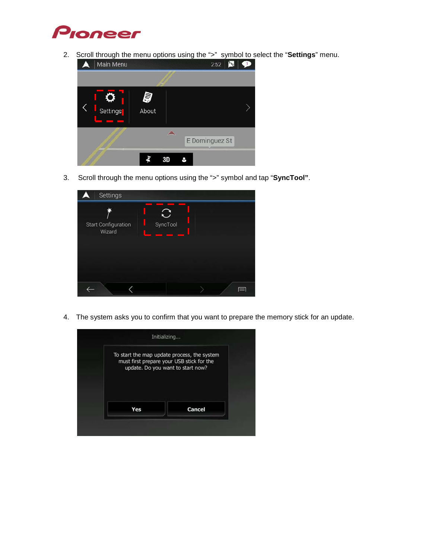

2. Scroll through the menu options using the ">" symbol to select the "**Settings**" menu.



3. Scroll through the menu options using the ">" symbol and tap "**SyncTool"**.

| Settings                      | <u> Tanzania (</u> | <b>Service State</b> |  |
|-------------------------------|--------------------|----------------------|--|
| Start Configuration<br>Wizard | SyncTool           |                      |  |
|                               |                    |                      |  |

4. The system asks you to confirm that you want to prepare the memory stick for an update.

| To start the map update process, the system<br>must first prepare your USB stick for the<br>update. Do you want to start now? |        |
|-------------------------------------------------------------------------------------------------------------------------------|--------|
| Yes                                                                                                                           | Cancel |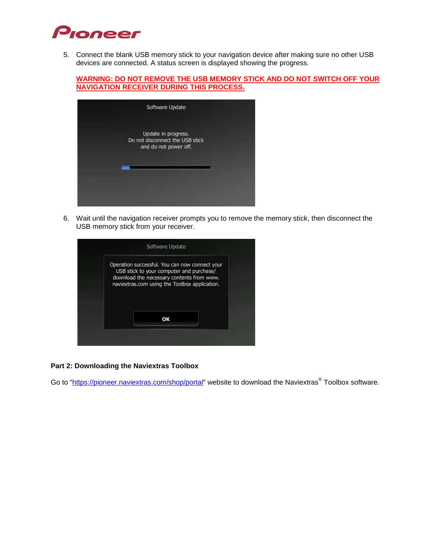

5. Connect the blank USB memory stick to your navigation device after making sure no other USB devices are connected. A status screen is displayed showing the progress.

**WARNING: DO NOT REMOVE THE USB MEMORY STICK AND DO NOT SWITCH OFF YOUR NAVIGATION RECEIVER DURING THIS PROCESS.**

| Software Update                                                                 |  |
|---------------------------------------------------------------------------------|--|
| Update in progress.<br>Do not disconnect the USB stick<br>and do not power off. |  |
|                                                                                 |  |
|                                                                                 |  |

6. Wait until the navigation receiver prompts you to remove the memory stick, then disconnect the USB memory stick from your receiver.

| Operation successful. You can now connect your |  |
|------------------------------------------------|--|
| USB stick to your computer and purchase/       |  |
| download the necessary contents from www.      |  |
| naviextras.com using the Toolbox application.  |  |
|                                                |  |
|                                                |  |
|                                                |  |
| OK                                             |  |

#### **Part 2: Downloading the Naviextras Toolbox**

Go to ["https://pioneer.naviextras.com/shop/portal"](https://pioneer.naviextras.com/shop/portal) website to download the Naviextras® Toolbox software.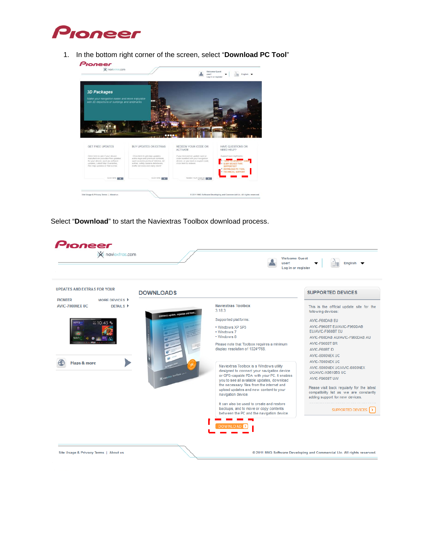

1. In the bottom right corner of the screen, select "**Download PC Tool**"



Select "**Download**" to start the Naviextras Toolbox download process.

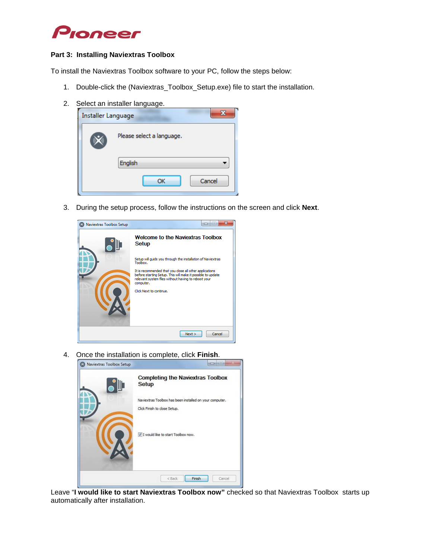

#### **Part 3: Installing Naviextras Toolbox**

To install the Naviextras Toolbox software to your PC, follow the steps below:

- 1. Double-click the (Naviextras\_Toolbox\_Setup.exe) file to start the installation.
- 2. Select an installer language.

| <b>Installer Language</b> |                           |
|---------------------------|---------------------------|
|                           | Please select a language. |
|                           | English                   |
|                           | Cancel<br>OK              |

3. During the setup process, follow the instructions on the screen and click **Next**.

| Naviextras Toolbox Setup | $\overline{\mathbf{x}}$<br>▭                                                                                                                                                                                          |
|--------------------------|-----------------------------------------------------------------------------------------------------------------------------------------------------------------------------------------------------------------------|
|                          | <b>Welcome to the Naviextras Toolbox</b><br>Setup                                                                                                                                                                     |
|                          | Setup will guide you through the installation of Naviextras<br>Toolbox.                                                                                                                                               |
|                          | It is recommended that you close all other applications<br>before starting Setup. This will make it possible to update<br>relevant system files without having to reboot your<br>computer.<br>Click Next to continue. |
|                          | Cancel<br>Next                                                                                                                                                                                                        |

4. Once the installation is complete, click **Finish**.

| Naviextras Toolbox Setup |                                                                                         |
|--------------------------|-----------------------------------------------------------------------------------------|
|                          | <b>Completing the Naviextras Toolbox</b><br><b>Setup</b>                                |
|                          | Naviextras Toolbox has been installed on your computer.<br>Click Finish to close Setup. |
|                          | I would like to start Toolbox now.                                                      |
|                          | Finish<br>< Back<br>Cancel                                                              |

Leave "**I would like to start Naviextras Toolbox now"** checked so that Naviextras Toolbox starts up automatically after installation.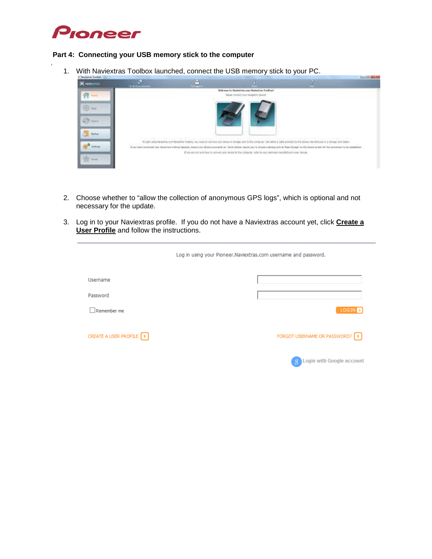

.

#### **Part 4: Connecting your USB memory stick to the computer**

1. With Naviextras Toolbox launched, connect the USB memory stick to your PC.



- 2. Choose whether to "allow the collection of anonymous GPS logs", which is optional and not necessary for the update.
- 3. Log in to your Naviextras profile. If you do not have a Naviextras account yet, click **Create a User Profile** and follow the instructions.

|                                    | Log in using your Pioneer. Naviextras.com username and password. |                                 |
|------------------------------------|------------------------------------------------------------------|---------------------------------|
| Username                           |                                                                  |                                 |
| Password                           |                                                                  |                                 |
| Remember me                        |                                                                  | LOGIN                           |
| CREATE A USER PROFILE <b>[</b> > ] |                                                                  | FORGOT USERNAME OR PASSWORD? [> |
|                                    |                                                                  | Login with Google account       |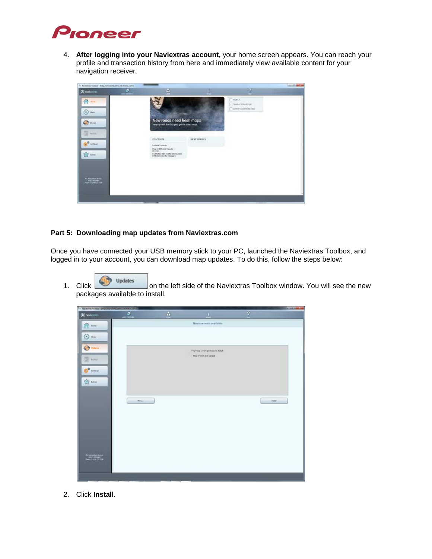

4. **After logging into your Naviextras account,** your home screen appears. You can reach your profile and transaction history from here and immediately view available content for your navigation receiver.

| X Nederlan Toolson - Silipularme britaining reserves in A |                  |                                                                                                                                 |                    |                                                              | <b>Satisfient by</b> |
|-----------------------------------------------------------|------------------|---------------------------------------------------------------------------------------------------------------------------------|--------------------|--------------------------------------------------------------|----------------------|
| <b>K</b> rokkos                                           | ø.<br>and Silest | A                                                                                                                               |                    |                                                              |                      |
| 合一<br>9<br><b>Han</b><br><b>IT's piece</b>                |                  | New roads need fresh maps                                                                                                       |                    | $\Box$ monair<br>$-$ THRACTOFORDS<br>[1] tommer, commercials |                      |
| 四 mm<br><b>STEWART</b>                                    |                  | loso specifi the changes, get the latest maps<br>CONTENTS<br>Analysis Corporate<br><b>Reput Stripped County</b><br><b>SUPON</b> | <b>BEST OFFICE</b> |                                                              |                      |
| $\frac{1}{2}$ sons<br><b><i><u>Thompson</u></i></b>       |                  | Enaltation ADS toolfs information<br>(1992) another for Hangary<br><b>LOOKING IN EAST</b>                                       |                    |                                                              |                      |
|                                                           |                  |                                                                                                                                 |                    |                                                              |                      |

#### **Part 5: Downloading map updates from Naviextras.com**

Once you have connected your USB memory stick to your PC, launched the Naviextras Toolbox, and logged in to your account, you can download map updates. To do this, follow the steps below:

1. Click Click on the left side of the Naviextras Toolbox window. You will see the new packages available to install.



2. Click **Install**.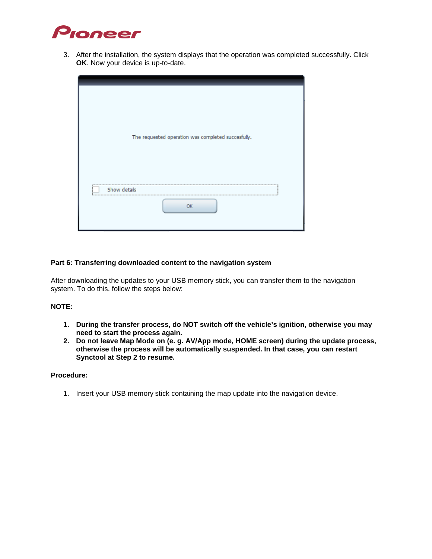

3. After the installation, the system displays that the operation was completed successfully. Click **OK**. Now your device is up-to-date.

| Show details<br>-------------------------------------<br>OK | The requested operation was completed succesfuly. |
|-------------------------------------------------------------|---------------------------------------------------|

#### **Part 6: Transferring downloaded content to the navigation system**

After downloading the updates to your USB memory stick, you can transfer them to the navigation system. To do this, follow the steps below:

#### **NOTE:**

- **1. During the transfer process, do NOT switch off the vehicle's ignition, otherwise you may need to start the process again.**
- **2. Do not leave Map Mode on (e. g. AV/App mode, HOME screen) during the update process, otherwise the process will be automatically suspended. In that case, you can restart Synctool at Step 2 to resume.**

#### **Procedure:**

1. Insert your USB memory stick containing the map update into the navigation device.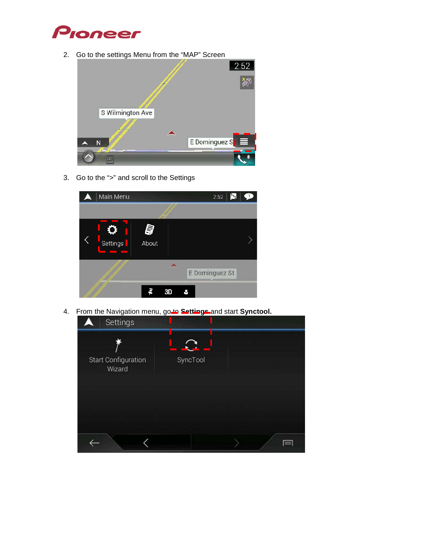

2. Go to the settings Menu from the "MAP" Screen



3. Go to the ">" and scroll to the Settings



4. From the Navigation menu, go-to **Settings** and start **Synctool.**